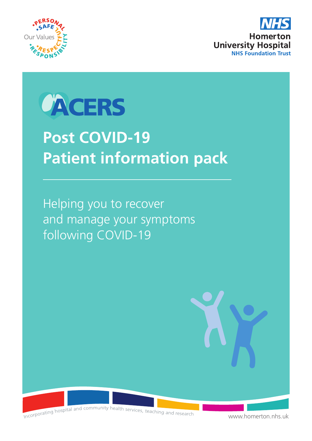





# **Post COVID-19 Patient information pack**

Helping you to recover and manage your symptoms following COVID-19



Incorporating hospital and community health services, teaching and research

[www.homerton.nhs.uk](http://www.homerton.nhs.uk)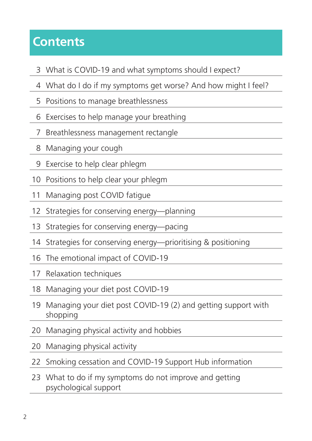### **Contents**

- What is COVID-19 and what symptoms should I expect?
- What do I do if my symptoms get worse? And how might I feel?
- Positions to manage breathlessness
- Exercises to help manage your breathing
- Breathlessness management rectangle
- Managing your cough
- Exercise to help clear phlegm
- Positions to help clear your phlegm
- Managing post COVID fatigue
- Strategies for conserving energy—planning
- Strategies for conserving energy—pacing
- Strategies for conserving energy—prioritising & positioning
- The emotional impact of COVID-19
- Relaxation techniques
- Managing your diet post COVID-19
- 19 Managing your diet post COVID-19 (2) and getting support with shopping
- Managing physical activity and hobbies
- Managing physical activity
- Smoking cessation and COVID-19 Support Hub information
- 23 What to do if my symptoms do not improve and getting psychological support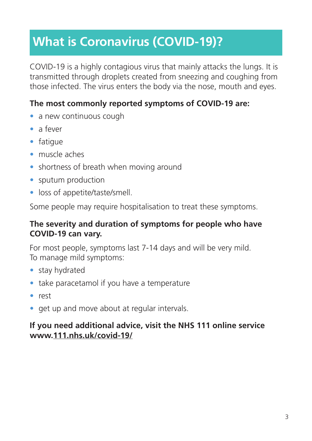## **What is Coronavirus (COVID-19)?**

COVID-19 is a highly contagious virus that mainly attacks the lungs. It is transmitted through droplets created from sneezing and coughing from those infected. The virus enters the body via the nose, mouth and eyes.

#### **The most commonly reported symptoms of COVID-19 are:**

- a new continuous cough
- a fever
- fatigue
- muscle aches
- shortness of breath when moving around
- sputum production
- loss of appetite/taste/smell.

Some people may require hospitalisation to treat these symptoms.

#### **The severity and duration of symptoms for people who have COVID-19 can vary.**

For most people, symptoms last 7-14 days and will be very mild. To manage mild symptoms:

- stay hydrated
- take paracetamol if you have a temperature
- rest
- get up and move about at regular intervals.

#### **If you need additional advice, visit the NHS 111 online service www.111.[nhs.uk/covid-19/](http://nhs.uk/covid-19/)**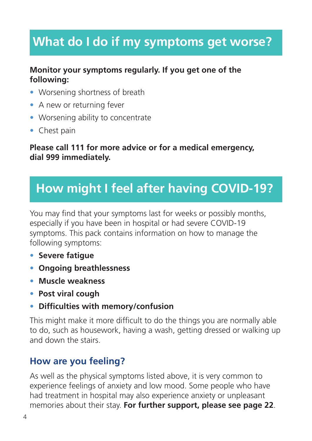### **What do I do if my symptoms get worse?**

#### **Monitor your symptoms regularly. If you get one of the following:**

- Worsening shortness of breath
- A new or returning fever
- Worsening ability to concentrate
- Chest pain

**Please call 111 for more advice or for a medical emergency, dial 999 immediately.**

### **How might I feel after having COVID-19?**

You may find that your symptoms last for weeks or possibly months, especially if you have been in hospital or had severe COVID-19 symptoms. This pack contains information on how to manage the following symptoms:

- **• Severe fatigue**
- **• Ongoing breathlessness**
- **• Muscle weakness**
- **• Post viral cough**
- **• Difficulties with memory/confusion**

This might make it more difficult to do the things you are normally able to do, such as housework, having a wash, getting dressed or walking up and down the stairs.

### **How are you feeling?**

As well as the physical symptoms listed above, it is very common to experience feelings of anxiety and low mood. Some people who have had treatment in hospital may also experience anxiety or unpleasant memories about their stay. **For further support, please see page 22**.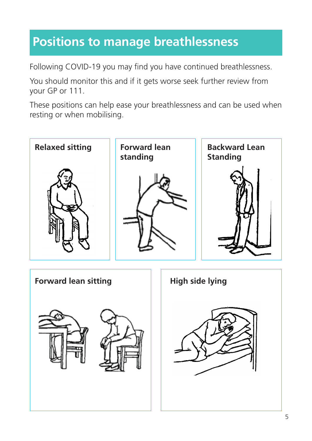### **Positions to manage breathlessness**

Following COVID-19 you may find you have continued breathlessness.

You should monitor this and if it gets worse seek further review from<br>vour GP or 111. your GP or 111. further review from

These positions can help ease your breathlessness and can be used when resting or when mobilising.

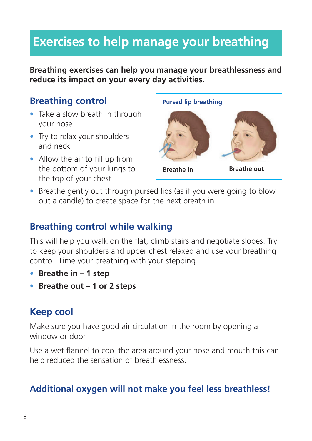### **Exercises to help manage your breathing**

**Breathing exercises can help you manage your breathlessness and reduce its impact on your every day activities.**

#### **Breathing control**

- Take a slow breath in through your nose
- Try to relax your shoulders and neck
- Allow the air to fill up from the bottom of your lungs to the top of your chest



• Breathe gently out through pursed lips (as if you were going to blow out a candle) to create space for the next breath in

#### **Breathing control while walking**

This will help you walk on the flat, climb stairs and negotiate slopes. Try to keep your shoulders and upper chest relaxed and use your breathing control. Time your breathing with your stepping.

- **Breathe in 1 step**
- **Breathe out 1 or 2 steps**

### **Keep cool**

Make sure you have good air circulation in the room by opening a window or door.

Use a wet flannel to cool the area around your nose and mouth this can help reduced the sensation of breathlessness.

#### **Additional oxygen will not make you feel less breathless!**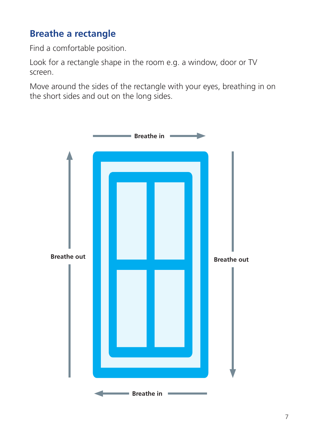### **Breathe a rectangle**

Find a comfortable position.

Look for a rectangle shape in the room e.g. a window, door or TV screen.

Move around the sides of the rectangle with your eyes, breathing in on the short sides and out on the long sides.

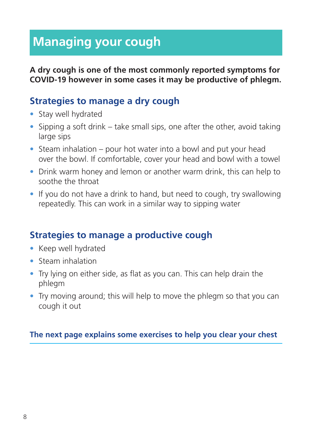### **Managing your cough**

**A dry cough is one of the most commonly reported symptoms for COVID-19 however in some cases it may be productive of phlegm.** 

#### **Strategies to manage a dry cough**

- Stay well hydrated
- Sipping a soft drink take small sips, one after the other, avoid taking large sips
- Steam inhalation pour hot water into a bowl and put your head over the bowl. If comfortable, cover your head and bowl with a towel
- Drink warm honey and lemon or another warm drink, this can help to soothe the throat
- If you do not have a drink to hand, but need to cough, try swallowing repeatedly. This can work in a similar way to sipping water

#### **Strategies to manage a productive cough**

- Keep well hydrated
- Steam inhalation
- Try lying on either side, as flat as you can. This can help drain the phlegm
- Try moving around; this will help to move the phlegm so that you can cough it out

#### **The next page explains some exercises to help you clear your chest**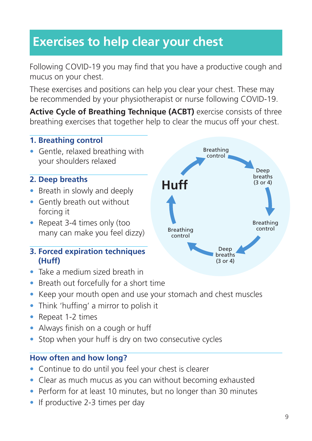### **Exercises to help clear your chest**

Following COVID-19 you may find that you have a productive cough and mucus on your chest.

These exercises and positions can help you clear your chest. These may be recommended by your physiotherapist or nurse following COVID-19.

**Active Cycle of Breathing Technique (ACBT)** exercise consists of three breathing exercises that together help to clear the mucus off your chest.

#### **1. Breathing control**

• Gentle, relaxed breathing with your shoulders relaxed

#### **2. Deep breaths**

- Breath in slowly and deeply
- Gently breath out without forcing it
- Repeat 3-4 times only (too many can make you feel dizzy)
- **3. Forced expiration techniques (Huff)**
- Take a medium sized breath in
- Breath out forcefully for a short time
- Keep your mouth open and use your stomach and chest muscles
- Think 'huffing' a mirror to polish it
- Repeat 1-2 times
- Always finish on a cough or huff
- Stop when your huff is dry on two consecutive cycles

#### **How often and how long?**

- Continue to do until you feel your chest is clearer
- Clear as much mucus as you can without becoming exhausted
- Perform for at least 10 minutes, but no longer than 30 minutes
- If productive 2-3 times per day

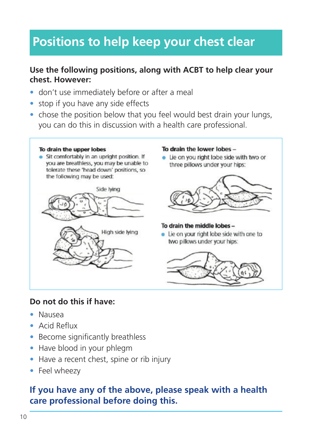### **Positions to help keep your chest clear**

#### **Use the following positions, along with ACBT to help clear your chest. However:**

- don't use immediately before or after a meal
- stop if you have any side effects
- chose the position below that you feel would best drain your lungs, you can do this in discussion with a health care professional.

#### To drain the upper lobes

• Sit comfortably in an upright position. If you are breathless, you may be unable to tolerate these 'head down' positions, so the following may be used:



#### To drain the lower lobes -

• Lie on you right lobe side with two or three pillows under your hips:



#### To drain the middle lobes -

• Lie on your right lobe side with one to two pillows under your hips:



#### **Do not do this if have:**

- Nausea
- Acid Reflux
- Become significantly breathless
- Have blood in your phlegm
- Have a recent chest, spine or rib injury
- Feel wheezy

#### **If you have any of the above, please speak with a health care professional before doing this.**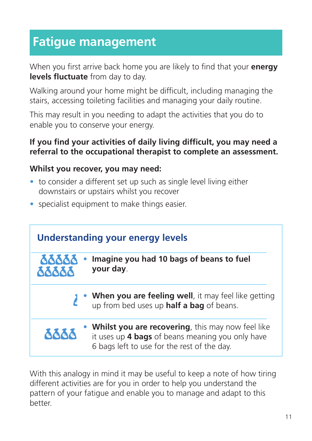### **Fatigue management**

When you first arrive back home you are likely to find that your **energy levels fluctuate** from day to day.

Walking around your home might be difficult, including managing the stairs, accessing toileting facilities and managing your daily routine.

This may result in you needing to adapt the activities that you do to enable you to conserve your energy.

#### **If you find your activities of daily living difficult, you may need a referral to the occupational therapist to complete an assessment.**

#### **Whilst you recover, you may need:**

- to consider a different set up such as single level living either downstairs or upstairs whilst you recover
- specialist equipment to make things easier.



With this analogy in mind it may be useful to keep a note of how tiring different activities are for you in order to help you understand the pattern of your fatigue and enable you to manage and adapt to this better.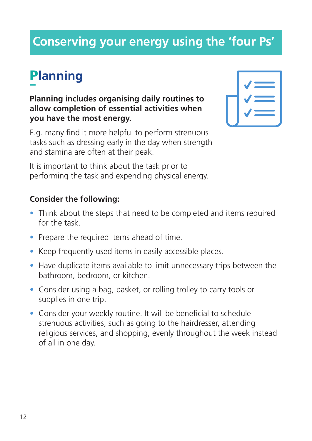### **Conserving your energy using the 'four Ps'**

# P**lanning**

#### **Planning includes organising daily routines to allow completion of essential activities when you have the most energy.**

E.g. many find it more helpful to perform strenuous tasks such as dressing early in the day when strength and stamina are often at their peak.

| V                                                                                                                                                                                                                          |
|----------------------------------------------------------------------------------------------------------------------------------------------------------------------------------------------------------------------------|
| V<br>م بين المركز المركز المركز المركز المركز المركز المركز المركز المركز المركز المركز المركز المركز ال<br>المركز المركز المركز المركز المركز المركز المركز المركز المركز المركز المركز المركز المركز المركز المركز المرك |
| $\blacktriangledown$<br>$\mathcal{L}(\mathcal{L})$ and $\mathcal{L}(\mathcal{L})$                                                                                                                                          |
|                                                                                                                                                                                                                            |

It is important to think about the task prior to performing the task and expending physical energy.

- Think about the steps that need to be completed and items required for the task.
- Prepare the required items ahead of time.
- Keep frequently used items in easily accessible places.
- Have duplicate items available to limit unnecessary trips between the bathroom, bedroom, or kitchen.
- Consider using a bag, basket, or rolling trolley to carry tools or supplies in one trip.
- Consider your weekly routine. It will be beneficial to schedule strenuous activities, such as going to the hairdresser, attending religious services, and shopping, evenly throughout the week instead of all in one day.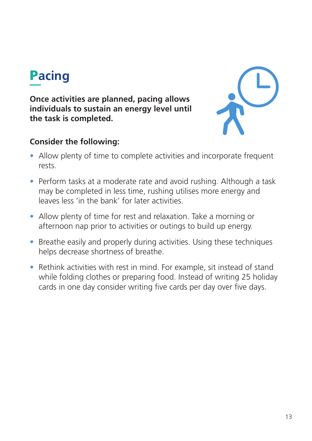# P**acing**

**Once activities are planned, pacing allows individuals to sustain an energy level until the task is completed.**



- Allow plenty of time to complete activities and incorporate frequent rests.
- Perform tasks at a moderate rate and avoid rushing. Although a task may be completed in less time, rushing utilises more energy and leaves less 'in the bank' for later activities.
- Allow plenty of time for rest and relaxation. Take a morning or afternoon nap prior to activities or outings to build up energy.
- Breathe easily and properly during activities. Using these techniques helps decrease shortness of breathe.
- Rethink activities with rest in mind. For example, sit instead of stand while folding clothes or preparing food. Instead of writing 25 holiday cards in one day consider writing five cards per day over five days.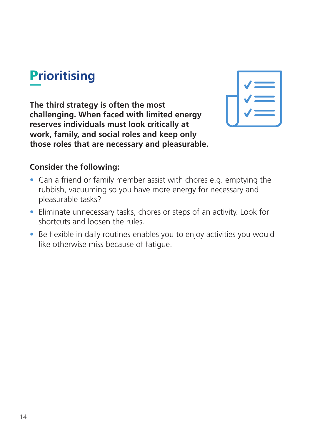# P**rioritising**

**The third strategy is often the most challenging. When faced with limited energy reserves individuals must look critically at work, family, and social roles and keep only those roles that are necessary and pleasurable.**



- Can a friend or family member assist with chores e.g. emptying the rubbish, vacuuming so you have more energy for necessary and pleasurable tasks?
- Eliminate unnecessary tasks, chores or steps of an activity. Look for shortcuts and loosen the rules.
- Be flexible in daily routines enables you to enjoy activities you would like otherwise miss because of fatigue.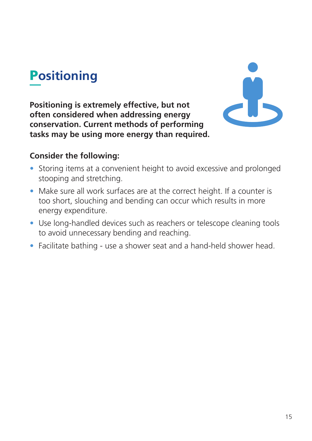# P**ositioning**

**Positioning is extremely effective, but not often considered when addressing energy conservation. Current methods of performing tasks may be using more energy than required.** 



- Storing items at a convenient height to avoid excessive and prolonged stooping and stretching.
- Make sure all work surfaces are at the correct height. If a counter is too short, slouching and bending can occur which results in more energy expenditure.
- Use long-handled devices such as reachers or telescope cleaning tools to avoid unnecessary bending and reaching.
- Facilitate bathing use a shower seat and a hand-held shower head.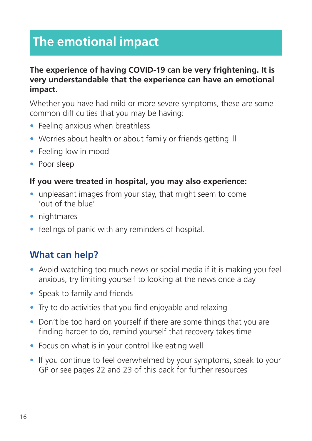### **The emotional impact**

#### **The experience of having COVID-19 can be very frightening. It is very understandable that the experience can have an emotional impact.**

Whether you have had mild or more severe symptoms, these are some common difficulties that you may be having:

- Feeling anxious when breathless
- Worries about health or about family or friends getting ill
- Feeling low in mood
- Poor sleep

#### **If you were treated in hospital, you may also experience:**

- unpleasant images from your stay, that might seem to come 'out of the blue'
- nightmares
- feelings of panic with any reminders of hospital.

#### **What can help?**

- Avoid watching too much news or social media if it is making you feel anxious, try limiting yourself to looking at the news once a day
- Speak to family and friends
- Try to do activities that you find enjoyable and relaxing
- Don't be too hard on yourself if there are some things that you are finding harder to do, remind yourself that recovery takes time
- Focus on what is in your control like eating well
- If you continue to feel overwhelmed by your symptoms, speak to your GP or see pages 22 and 23 of this pack for further resources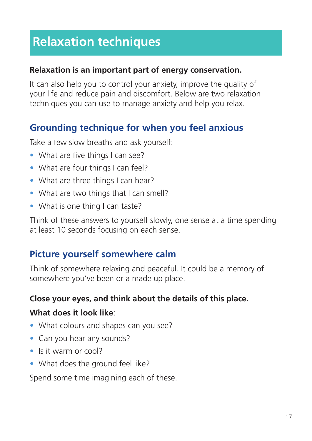### **Relaxation techniques**

#### **Relaxation is an important part of energy conservation.**

It can also help you to control your anxiety, improve the quality of your life and reduce pain and discomfort. Below are two relaxation techniques you can use to manage anxiety and help you relax.

#### **Grounding technique for when you feel anxious**

Take a few slow breaths and ask yourself:

- What are five things I can see?
- What are four things I can feel?
- What are three things I can hear?
- What are two things that I can smell?
- What is one thing I can taste?

Think of these answers to yourself slowly, one sense at a time spending at least 10 seconds focusing on each sense.

#### **Picture yourself somewhere calm**

Think of somewhere relaxing and peaceful. It could be a memory of somewhere you've been or a made up place.

#### **Close your eyes, and think about the details of this place.**

#### **What does it look like**:

- What colours and shapes can you see?
- Can you hear any sounds?
- Is it warm or cool?
- What does the ground feel like?

Spend some time imagining each of these.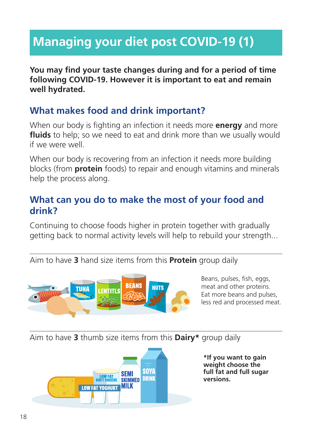## **Managing your diet post COVID-19 (1)**

**You may find your taste changes during and for a period of time following COVID-19. However it is important to eat and remain well hydrated.**

#### **What makes food and drink important?**

When our body is fighting an infection it needs more **energy** and more **fluids** to help; so we need to eat and drink more than we usually would if we were well.

When our body is recovering from an infection it needs more building blocks (from **protein** foods) to repair and enough vitamins and minerals help the process along.

#### **What can you do to make the most of your food and drink?**

Continuing to choose foods higher in protein together with gradually getting back to normal activity levels will help to rebuild your strength...

Aim to have **3** hand size items from this **Protein** group daily



Beans, pulses, fish, eggs, meat and other proteins. Eat more beans and pulses, less red and processed meat.

Aim to have **3** thumb size items from this **Dairy\*** group daily



**\*If you want to gain weight choose the full fat and full sugar versions.**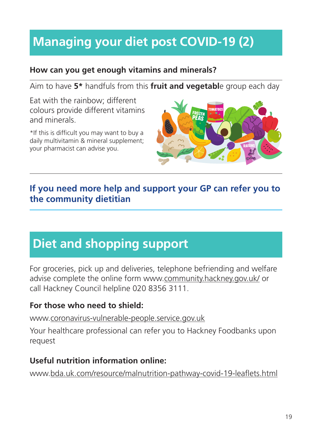## **Managing your diet post COVID-19 (2)**

#### **How can you get enough vitamins and minerals?**

Aim to have **5\*** handfuls from this **fruit and vegetabl**e group each day

Eat with the rainbow; different colours provide different vitamins and minerals.

\*If this is difficult you may want to buy a daily multivitamin & mineral supplement; your pharmacist can advise you.



#### **If you need more help and support your GP can refer you to the community dietitian**

### **Diet and shopping support**

For groceries, pick up and deliveries, telephone befriending and welfare advise complete the online form www[.community.hackney.gov.uk/](https://community.hackney.gov.uk/) or call Hackney Council helpline 020 8356 3111.

#### **For those who need to shield:**

www[.coronavirus-vulnerable-people.service.gov.uk](https://coronavirus-vulnerable-people.service.gov.uk)

Your healthcare professional can refer you to Hackney Foodbanks upon request

#### **Useful nutrition information online:**

[www.bda.uk.com/resource/malnutrition-pathway-covid-19-leaflets.html](http://www.bda.uk.com/resource/malnutrition-pathway-covid-19-leaflets.html)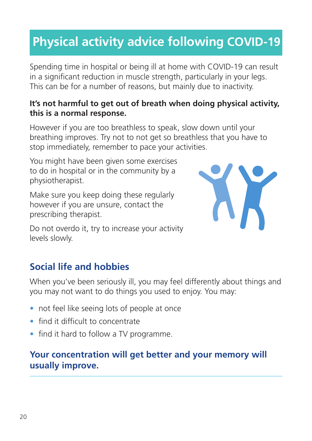### **Physical activity advice following COVID-19**

Spending time in hospital or being ill at home with COVID-19 can result in a significant reduction in muscle strength, particularly in your legs. This can be for a number of reasons, but mainly due to inactivity.

#### **It's not harmful to get out of breath when doing physical activity, this is a normal response.**

However if you are too breathless to speak, slow down until your breathing improves. Try not to not get so breathless that you have to stop immediately, remember to pace your activities.

You might have been given some exercises to do in hospital or in the community by a physiotherapist.

Make sure you keep doing these regularly however if you are unsure, contact the prescribing therapist.



Do not overdo it, try to increase your activity levels slowly.

### **Social life and hobbies**

When you've been seriously ill, you may feel differently about things and you may not want to do things you used to enjoy. You may:

- not feel like seeing lots of people at once
- find it difficult to concentrate
- find it hard to follow a TV programme.

#### **Your concentration will get better and your memory will usually improve.**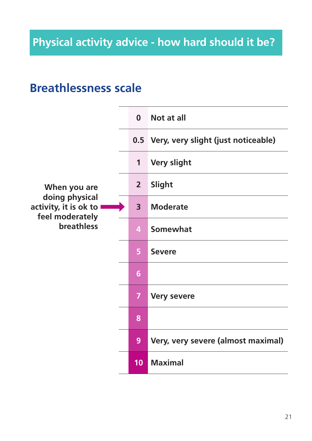### **Breathlessness scale**

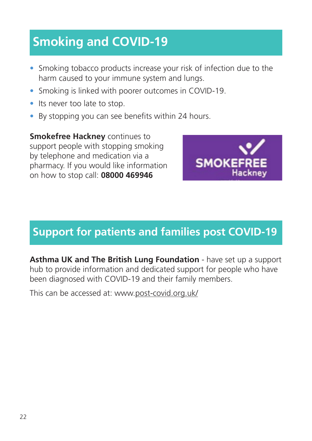## **Smoking and COVID-19**

- Smoking tobacco products increase your risk of infection due to the harm caused to your immune system and lungs.
- Smoking is linked with poorer outcomes in COVID-19.
- Its never too late to stop.
- By stopping you can see benefits within 24 hours.

**Smokefree Hackney** continues to support people with stopping smoking by telephone and medication via a pharmacy. If you would like information on how to stop call: **08000 469946**



### **Support for patients and families post COVID-19**

Asthma UK and The British Lung Foundation - have set up a support hub to provide information and dedicated support for people who have been diagnosed with COVID-19 and their family members.

This can be accessed at: [www.post-covid.org.uk/](https://www.post-covid.org.uk/)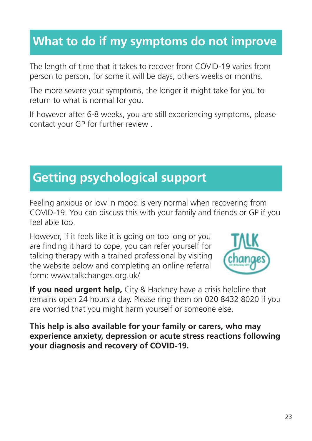### **What to do if my symptoms do not improve**

The length of time that it takes to recover from COVID-19 varies from person to person, for some it will be days, others weeks or months.

The more severe your symptoms, the longer it might take for you to return to what is normal for you.

If however after 6-8 weeks, you are still experiencing symptoms, please contact your GP for further review .

### **Getting psychological support**

Feeling anxious or low in mood is very normal when recovering from COVID-19. You can discuss this with your family and friends or GP if you feel able too.

However, if it feels like it is going on too long or you are finding it hard to cope, you can refer yourself for talking therapy with a trained professional by visiting the website below and completing an online referral form: www.[talkchanges.org.uk/](https://talkchanges.org.uk/)



**If you need urgent help,** City & Hackney have a crisis helpline that remains open 24 hours a day. Please ring them on 020 8432 8020 if you are worried that you might harm yourself or someone else.

**This help is also available for your family or carers, who may experience anxiety, depression or acute stress reactions following your diagnosis and recovery of COVID-19.**